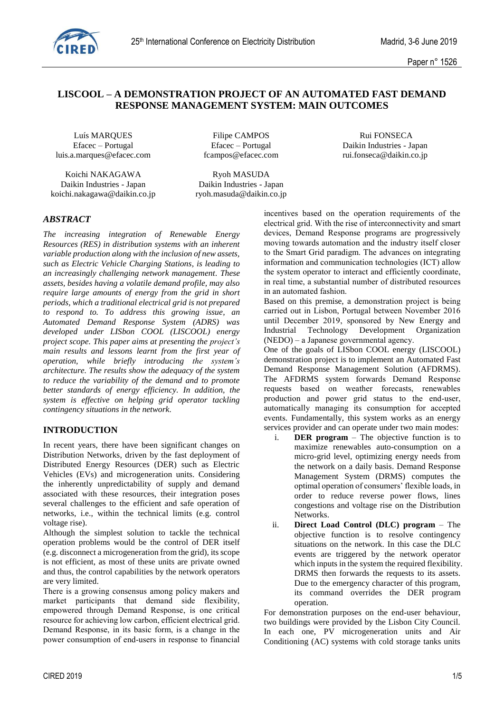

### **LISCOOL – A DEMONSTRATION PROJECT OF AN AUTOMATED FAST DEMAND RESPONSE MANAGEMENT SYSTEM: MAIN OUTCOMES**

Luís MARQUES Filipe CAMPOS Rui FONSECA luis.a.marques@efacec.com fcampos@efacec.com rui.fonseca@daikin.co.jp

Koichi NAKAGAWA Ryoh MASUDA Daikin Industries - Japan Daikin Industries - Japan koichi.nakagawa@daikin.co.jp ryoh.masuda@daikin.co.jp

Efacec – Portugal Efacec – Portugal Daikin Industries - Japan

## *ABSTRACT*

*The increasing integration of Renewable Energy Resources (RES) in distribution systems with an inherent variable production along with the inclusion of new assets, such as Electric Vehicle Charging Stations, is leading to an increasingly challenging network management. These assets, besides having a volatile demand profile, may also require large amounts of energy from the grid in short periods, which a traditional electrical grid is not prepared to respond to. To address this growing issue, an Automated Demand Response System (ADRS) was developed under LISbon COOL (LISCOOL) energy project scope. This paper aims at presenting the project's main results and lessons learnt from the first year of operation, while briefly introducing the system's architecture. The results show the adequacy of the system to reduce the variability of the demand and to promote better standards of energy efficiency. In addition, the system is effective on helping grid operator tackling contingency situations in the network.*

### **INTRODUCTION**

In recent years, there have been significant changes on Distribution Networks, driven by the fast deployment of Distributed Energy Resources (DER) such as Electric Vehicles (EVs) and microgeneration units. Considering the inherently unpredictability of supply and demand associated with these resources, their integration poses several challenges to the efficient and safe operation of networks, i.e., within the technical limits (e.g. control voltage rise).

Although the simplest solution to tackle the technical operation problems would be the control of DER itself (e.g. disconnect a microgeneration from the grid), its scope is not efficient, as most of these units are private owned and thus, the control capabilities by the network operators are very limited.

There is a growing consensus among policy makers and market participants that demand side flexibility, empowered through Demand Response, is one critical resource for achieving low carbon, efficient electrical grid. Demand Response, in its basic form, is a change in the power consumption of end-users in response to financial incentives based on the operation requirements of the electrical grid. With the rise of interconnectivity and smart devices, Demand Response programs are progressively moving towards automation and the industry itself closer to the Smart Grid paradigm. The advances on integrating information and communication technologies (ICT) allow the system operator to interact and efficiently coordinate, in real time, a substantial number of distributed resources in an automated fashion.

Based on this premise, a demonstration project is being carried out in Lisbon, Portugal between November 2016 until December 2019, sponsored by New Energy and Industrial Technology Development Organization (NEDO) – a Japanese governmental agency.

One of the goals of LISbon COOL energy (LISCOOL) demonstration project is to implement an Automated Fast Demand Response Management Solution (AFDRMS). The AFDRMS system forwards Demand Response requests based on weather forecasts, renewables production and power grid status to the end-user, automatically managing its consumption for accepted events. Fundamentally, this system works as an energy services provider and can operate under two main modes:

- i. **DER program**  The objective function is to maximize renewables auto-consumption on a micro-grid level, optimizing energy needs from the network on a daily basis. Demand Response Management System (DRMS) computes the optimal operation of consumers' flexible loads, in order to reduce reverse power flows, lines congestions and voltage rise on the Distribution Networks.
- ii. **Direct Load Control (DLC) program**  The objective function is to resolve contingency situations on the network. In this case the DLC events are triggered by the network operator which inputs in the system the required flexibility. DRMS then forwards the requests to its assets. Due to the emergency character of this program, its command overrides the DER program operation.

For demonstration purposes on the end-user behaviour, two buildings were provided by the Lisbon City Council. In each one, PV microgeneration units and Air Conditioning (AC) systems with cold storage tanks units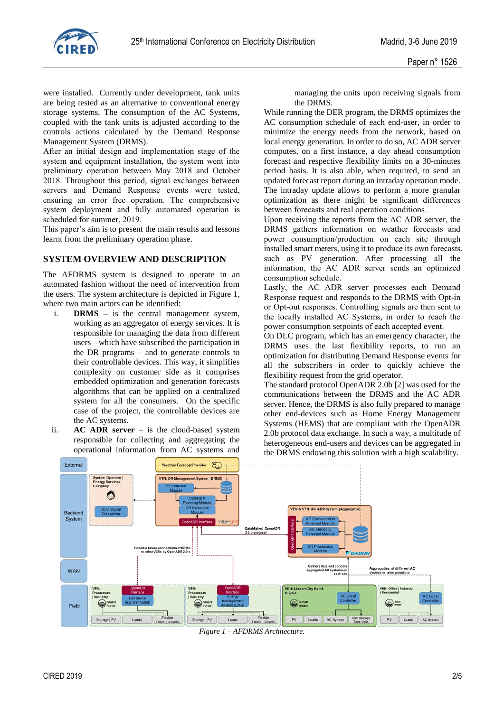

were installed. Currently under development, tank units are being tested as an alternative to conventional energy storage systems. The consumption of the AC Systems, coupled with the tank units is adjusted according to the controls actions calculated by the Demand Response Management System (DRMS).

After an initial design and implementation stage of the system and equipment installation, the system went into preliminary operation between May 2018 and October 2018. Throughout this period, signal exchanges between servers and Demand Response events were tested, ensuring an error free operation. The comprehensive system deployment and fully automated operation is scheduled for summer, 2019.

This paper's aim is to present the main results and lessons learnt from the preliminary operation phase.

### **SYSTEM OVERVIEW AND DESCRIPTION**

The AFDRMS system is designed to operate in an automated fashion without the need of intervention from the users. The system architecture is depicted in Figure 1, where two main actors can be identified:

- i. **DRMS –** is the central management system, working as an aggregator of energy services. It is responsible for managing the data from different users – which have subscribed the participation in the DR programs – and to generate controls to their controllable devices. This way, it simplifies complexity on customer side as it comprises embedded optimization and generation forecasts algorithms that can be applied on a centralized system for all the consumers. On the specific case of the project, the controllable devices are the AC systems.
- ii. **AC ADR server** is the cloud-based system responsible for collecting and aggregating the operational information from AC systems and

managing the units upon receiving signals from the DRMS.

While running the DER program, the DRMS optimizes the AC consumption schedule of each end-user, in order to minimize the energy needs from the network, based on local energy generation. In order to do so, AC ADR server computes, on a first instance, a day ahead consumption forecast and respective flexibility limits on a 30-minutes period basis. It is also able, when required, to send an updated forecast report during an intraday operation mode. The intraday update allows to perform a more granular optimization as there might be significant differences between forecasts and real operation conditions.

Upon receiving the reports from the AC ADR server, the DRMS gathers information on weather forecasts and power consumption/production on each site through installed smart meters, using it to produce its own forecasts, such as PV generation. After processing all the information, the AC ADR server sends an optimized consumption schedule.

Lastly, the AC ADR server processes each Demand Response request and responds to the DRMS with Opt-in or Opt-out responses. Controlling signals are then sent to the locally installed AC Systems, in order to reach the power consumption setpoints of each accepted event.

On DLC program, which has an emergency character, the DRMS uses the last flexibility reports, to run an optimization for distributing Demand Response events for all the subscribers in order to quickly achieve the flexibility request from the grid operator.

The standard protocol OpenADR 2.0b [2] was used for the communications between the DRMS and the AC ADR server. Hence, the DRMS is also fully prepared to manage other end-devices such as Home Energy Management Systems (HEMS) that are compliant with the OpenADR 2.0b protocol data exchange. In such a way, a multitude of heterogeneous end-users and devices can be aggregated in the DRMS endowing this solution with a high scalability.



*Figure 1 – AFDRMS Architecture.*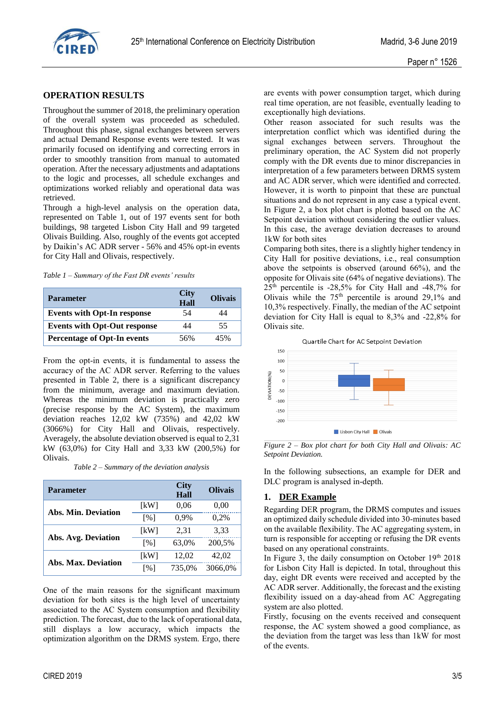

#### **OPERATION RESULTS**

Throughout the summer of 2018, the preliminary operation of the overall system was proceeded as scheduled. Throughout this phase, signal exchanges between servers and actual Demand Response events were tested. It was primarily focused on identifying and correcting errors in order to smoothly transition from manual to automated operation. After the necessary adjustments and adaptations to the logic and processes, all schedule exchanges and optimizations worked reliably and operational data was retrieved.

Through a high-level analysis on the operation data, represented on [Table 1,](#page-2-0) out of 197 events sent for both buildings, 98 targeted Lisbon City Hall and 99 targeted Olivais Building. Also, roughly of the events got accepted by Daikin's AC ADR server - 56% and 45% opt-in events for City Hall and Olivais, respectively.

<span id="page-2-0"></span>*Table 1 – Summary of the Fast DR events' results*

| <b>Parameter</b>                    | <b>City</b><br>Hall | <b>Olivais</b> |
|-------------------------------------|---------------------|----------------|
| <b>Events with Opt-In response</b>  | 54                  | 44             |
| <b>Events with Opt-Out response</b> | 44                  | 55             |
| <b>Percentage of Opt-In events</b>  | 56%                 | 45%            |

From the opt-in events, it is fundamental to assess the accuracy of the AC ADR server. Referring to the values presented in [Table 2,](#page-2-1) there is a significant discrepancy from the minimum, average and maximum deviation. Whereas the minimum deviation is practically zero (precise response by the AC System), the maximum deviation reaches 12,02 kW (735%) and 42,02 kW (3066%) for City Hall and Olivais, respectively. Averagely, the absolute deviation observed is equal to 2,31 kW (63,0%) for City Hall and 3,33 kW (200,5%) for Olivais.

*Table 2 – Summary of the deviation analysis*

<span id="page-2-1"></span>

| <b>Parameter</b>           |                   | <b>City</b><br>Hall | <b>Olivais</b> |
|----------------------------|-------------------|---------------------|----------------|
|                            | [kW]              | 0.06                | 0,00           |
| <b>Abs. Min. Deviation</b> | $\lceil\% \rceil$ | 0,9%                | 0,2%           |
| Abs. Avg. Deviation        | [kW]              | 2,31                | 3,33           |
|                            | $\lceil\% \rceil$ | 63,0%               | 200,5%         |
|                            | [kW]              | 12,02               | 42,02          |
| <b>Abs. Max. Deviation</b> | [%]               | 735.0%              | 3066.0%        |

One of the main reasons for the significant maximum deviation for both sites is the high level of uncertainty associated to the AC System consumption and flexibility prediction. The forecast, due to the lack of operational data, still displays a low accuracy, which impacts the optimization algorithm on the DRMS system. Ergo, there

are events with power consumption target, which during real time operation, are not feasible, eventually leading to exceptionally high deviations.

Other reason associated for such results was the interpretation conflict which was identified during the signal exchanges between servers. Throughout the preliminary operation, the AC System did not properly comply with the DR events due to minor discrepancies in interpretation of a few parameters between DRMS system and AC ADR server, which were identified and corrected. However, it is worth to pinpoint that these are punctual situations and do not represent in any case a typical event. In [Figure 2](#page-2-2), a box plot chart is plotted based on the AC Setpoint deviation without considering the outlier values. In this case, the average deviation decreases to around 1kW for both sites

Comparing both sites, there is a slightly higher tendency in City Hall for positive deviations, i.e., real consumption above the setpoints is observed (around 66%), and the opposite for Olivais site (64% of negative deviations). The 25th percentile is -28,5% for City Hall and -48,7% for Olivais while the  $75<sup>th</sup>$  percentile is around 29,1% and 10,3% respectively. Finally, the median of the AC setpoint deviation for City Hall is equal to 8,3% and -22,8% for Olivais site.



<span id="page-2-2"></span>*Figure 2 – Box plot chart for both City Hall and Olivais: AC Setpoint Deviation.*

In the following subsections, an example for DER and DLC program is analysed in-depth.

### **1. DER Example**

Regarding DER program, the DRMS computes and issues an optimized daily schedule divided into 30-minutes based on the available flexibility. The AC aggregating system, in turn is responsible for accepting or refusing the DR events based on any operational constraints.

In [Figure 3,](#page-3-0) the daily consumption on October 19th 2018 for Lisbon City Hall is depicted. In total, throughout this day, eight DR events were received and accepted by the AC ADR server. Additionally, the forecast and the existing flexibility issued on a day-ahead from AC Aggregating system are also plotted.

Firstly, focusing on the events received and consequent response, the AC system showed a good compliance, as the deviation from the target was less than 1kW for most of the events.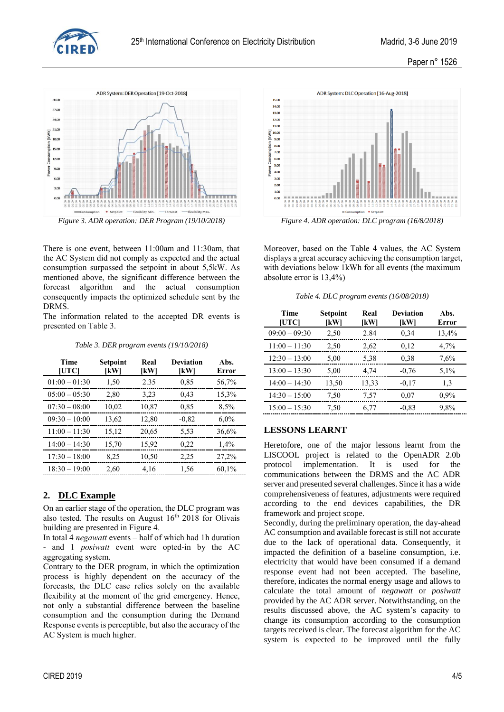

Paper n° 1526



<span id="page-3-0"></span>

There is one event, between 11:00am and 11:30am, that the AC System did not comply as expected and the actual consumption surpassed the setpoint in about 5,5kW. As mentioned above, the significant difference between the forecast algorithm and the actual consumption consequently impacts the optimized schedule sent by the DRMS.

The information related to the accepted DR events is presented on [Table 3.](#page-3-1)

#### *Table 3. DER program events (19/10/2018)*

<span id="page-3-1"></span>

| <b>Time</b><br><b>IUTCI</b> | Setpoint<br>[kW] | Real<br>[kW] | <b>Deviation</b><br>[kW] | Abs.<br>Error |
|-----------------------------|------------------|--------------|--------------------------|---------------|
| $01:00 - 01:30$             | 1,50             | 2.35         | 0.85                     | 56,7%         |
| $05:00 - 05:30$             | 2,80             | 3,23         | 0,43                     | 15,3%         |
| $07:30 - 08:00$             | 10,02            | 10,87        | 0.85                     | 8,5%          |
| $09:30 - 10:00$             | 13,62            | 12,80        | $-0.82$                  | $6,0\%$       |
| $11:00 - 11:30$             | 15,12            | 20,65        | 5,53                     | 36,6%         |
| $14:00 - 14:30$             | 15,70            | 15,92        | 0,22                     | 1,4%          |
| $17:30 - 18:00$             | 8,25             | 10,50        | 2,25                     | 27,2%         |
| $18:30 - 19:00$             | 2,60             | 4,16         | 1,56                     | 60,1%         |

### **2. DLC Example**

On an earlier stage of the operation, the DLC program was also tested. The results on August  $16<sup>th</sup>$  2018 for Olivais building are presented in [Figure 4.](#page-3-2) 

In total 4 *negawatt* events – half of which had 1h duration - and 1 *posiwatt* event were opted-in by the AC aggregating system.

Contrary to the DER program, in which the optimization process is highly dependent on the accuracy of the forecasts, the DLC case relies solely on the available flexibility at the moment of the grid emergency. Hence, not only a substantial difference between the baseline consumption and the consumption during the Demand Response events is perceptible, but also the accuracy of the AC System is much higher.



<span id="page-3-2"></span>Moreover, based on the [Table 4](#page-3-3) values, the AC System displays a great accuracy achieving the consumption target, with deviations below 1kWh for all events (the maximum absolute error is 13,4%)

|  |  |  |  | Table 4. DLC program events (16/08/2018) |
|--|--|--|--|------------------------------------------|
|--|--|--|--|------------------------------------------|

<span id="page-3-3"></span>

| <b>Time</b><br>[UTC] | Setpoint<br>[kW] | Real<br>[kW] | <b>Deviation</b><br>[kW] | Abs.<br>Error |
|----------------------|------------------|--------------|--------------------------|---------------|
| $09:00 - 09:30$      | 2,50             | 2.84         | 0,34                     | 13,4%         |
| $11:00 - 11:30$      | 2,50             | 2,62         | 0,12                     | 4,7%          |
| $12:30 - 13:00$      | 5,00             | 5,38         | 0.38                     | 7,6%          |
| $13:00 - 13:30$      | 5,00             | 4,74         | $-0,76$                  | 5,1%          |
| $14:00 - 14:30$      | 13,50            | 13,33        | $-0.17$                  | 1,3           |
| $14:30 - 15:00$      | 7,50             | 7,57         | 0,07                     | $0.9\%$       |
| $15:00 - 15:30$      | 7,50             | 6,77         | $-0.83$                  | 9,8%          |

### **LESSONS LEARNT**

Heretofore, one of the major lessons learnt from the LISCOOL project is related to the OpenADR 2.0b protocol implementation. It is used for the communications between the DRMS and the AC ADR server and presented several challenges. Since it has a wide comprehensiveness of features, adjustments were required according to the end devices capabilities, the DR framework and project scope.

Secondly, during the preliminary operation, the day-ahead AC consumption and available forecast is still not accurate due to the lack of operational data. Consequently, it impacted the definition of a baseline consumption, i.e. electricity that would have been consumed if a demand response event had not been accepted. The baseline, therefore, indicates the normal energy usage and allows to calculate the total amount of *negawatt* or *posiwatt* provided by the AC ADR server. Notwithstanding, on the results discussed above, the AC system's capacity to change its consumption according to the consumption targets received is clear. The forecast algorithm for the AC system is expected to be improved until the fully